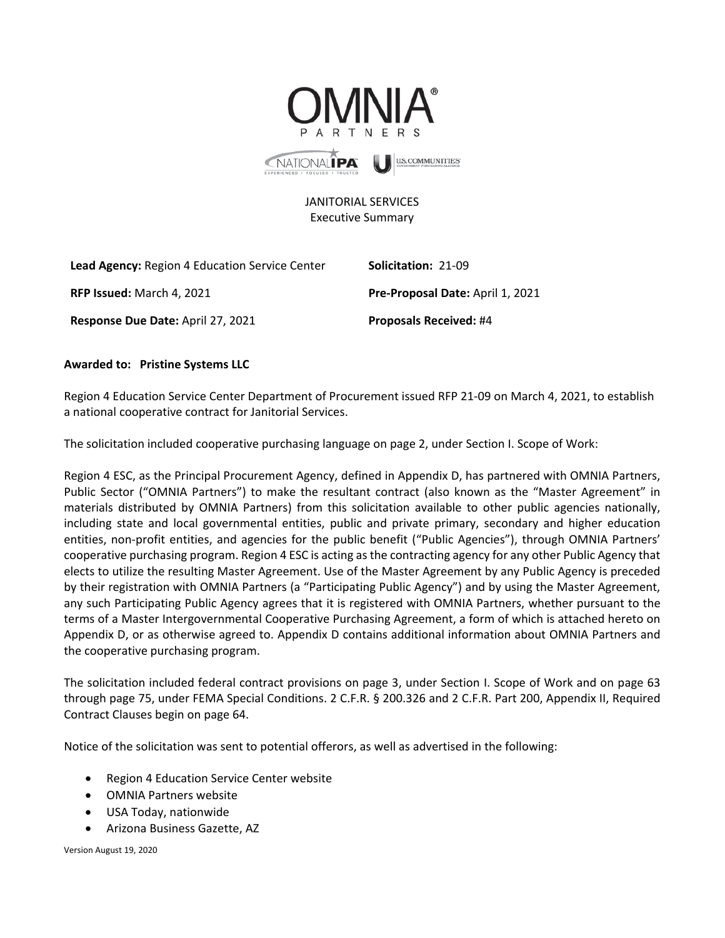

## JANITORIAL SERVICES Executive Summary

| <b>Lead Agency:</b> Region 4 Education Service Center | <b>Solicitation: 21-09</b>              |
|-------------------------------------------------------|-----------------------------------------|
| <b>RFP Issued:</b> March 4, 2021                      | <b>Pre-Proposal Date: April 1, 2021</b> |
| Response Due Date: April 27, 2021                     | <b>Proposals Received: #4</b>           |

## **Awarded to: Pristine Systems LLC**

Region 4 Education Service Center Department of Procurement issued RFP 21-09 on March 4, 2021, to establish a national cooperative contract for Janitorial Services.

The solicitation included cooperative purchasing language on page 2, under Section I. Scope of Work:

Region 4 ESC, as the Principal Procurement Agency, defined in Appendix D, has partnered with OMNIA Partners, Public Sector ("OMNIA Partners") to make the resultant contract (also known as the "Master Agreement" in materials distributed by OMNIA Partners) from this solicitation available to other public agencies nationally, including state and local governmental entities, public and private primary, secondary and higher education entities, non-profit entities, and agencies for the public benefit ("Public Agencies"), through OMNIA Partners' cooperative purchasing program. Region 4 ESC is acting as the contracting agency for any other Public Agency that elects to utilize the resulting Master Agreement. Use of the Master Agreement by any Public Agency is preceded by their registration with OMNIA Partners (a "Participating Public Agency") and by using the Master Agreement, any such Participating Public Agency agrees that it is registered with OMNIA Partners, whether pursuant to the terms of a Master Intergovernmental Cooperative Purchasing Agreement, a form of which is attached hereto on Appendix D, or as otherwise agreed to. Appendix D contains additional information about OMNIA Partners and the cooperative purchasing program.

The solicitation included federal contract provisions on page 3, under Section I. Scope of Work and on page 63 through page 75, under FEMA Special Conditions. 2 C.F.R. § 200.326 and 2 C.F.R. Part 200, Appendix II, Required Contract Clauses begin on page 64.

Notice of the solicitation was sent to potential offerors, as well as advertised in the following:

- Region 4 Education Service Center website
- OMNIA Partners website
- USA Today, nationwide
- Arizona Business Gazette, AZ

Version August 19, 2020